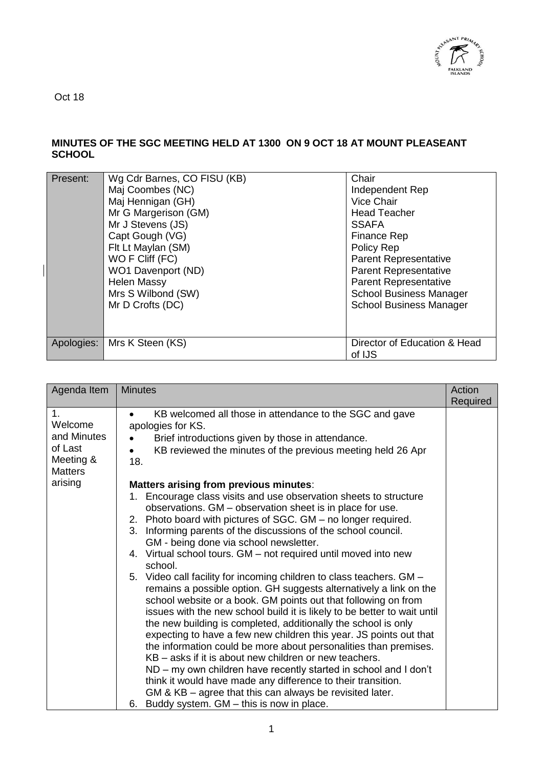

Oct 18

## **MINUTES OF THE SGC MEETING HELD AT 1300 ON 9 OCT 18 AT MOUNT PLEASEANT SCHOOL**

| Present:   | Wg Cdr Barnes, CO FISU (KB)<br>Maj Coombes (NC)<br>Maj Hennigan (GH)<br>Mr G Margerison (GM)<br>Mr J Stevens (JS)<br>Capt Gough (VG)<br>Flt Lt Maylan (SM)<br>WO F Cliff (FC)<br>WO1 Davenport (ND)<br><b>Helen Massy</b><br>Mrs S Wilbond (SW)<br>Mr D Crofts (DC) | Chair<br>Independent Rep<br>Vice Chair<br><b>Head Teacher</b><br><b>SSAFA</b><br>Finance Rep<br>Policy Rep<br><b>Parent Representative</b><br><b>Parent Representative</b><br><b>Parent Representative</b><br><b>School Business Manager</b><br><b>School Business Manager</b> |
|------------|---------------------------------------------------------------------------------------------------------------------------------------------------------------------------------------------------------------------------------------------------------------------|--------------------------------------------------------------------------------------------------------------------------------------------------------------------------------------------------------------------------------------------------------------------------------|
| Apologies: | Mrs K Steen (KS)                                                                                                                                                                                                                                                    | Director of Education & Head<br>of IJS                                                                                                                                                                                                                                         |

| Agenda Item                                                                       | <b>Minutes</b>                                                                                                                                                                                                                                                                                                                                                                                                                                                                                                                                                                                                                                                                                                                                                                                                                                                                                                                                                                                                                                                                  | Action<br>Required |
|-----------------------------------------------------------------------------------|---------------------------------------------------------------------------------------------------------------------------------------------------------------------------------------------------------------------------------------------------------------------------------------------------------------------------------------------------------------------------------------------------------------------------------------------------------------------------------------------------------------------------------------------------------------------------------------------------------------------------------------------------------------------------------------------------------------------------------------------------------------------------------------------------------------------------------------------------------------------------------------------------------------------------------------------------------------------------------------------------------------------------------------------------------------------------------|--------------------|
| 1.<br>Welcome<br>and Minutes<br>of Last<br>Meeting &<br><b>Matters</b><br>arising | KB welcomed all those in attendance to the SGC and gave<br>apologies for KS.<br>Brief introductions given by those in attendance.<br>KB reviewed the minutes of the previous meeting held 26 Apr<br>18.<br>Matters arising from previous minutes:<br>Encourage class visits and use observation sheets to structure<br>observations. GM – observation sheet is in place for use.<br>2. Photo board with pictures of SGC. GM – no longer required.<br>3. Informing parents of the discussions of the school council.<br>GM - being done via school newsletter.<br>4. Virtual school tours. GM – not required until moved into new<br>school.<br>5. Video call facility for incoming children to class teachers. GM -<br>remains a possible option. GH suggests alternatively a link on the<br>school website or a book. GM points out that following on from<br>issues with the new school build it is likely to be better to wait until<br>the new building is completed, additionally the school is only<br>expecting to have a few new children this year. JS points out that |                    |
|                                                                                   | the information could be more about personalities than premises.<br>KB – asks if it is about new children or new teachers.                                                                                                                                                                                                                                                                                                                                                                                                                                                                                                                                                                                                                                                                                                                                                                                                                                                                                                                                                      |                    |
|                                                                                   | ND – my own children have recently started in school and I don't<br>think it would have made any difference to their transition.                                                                                                                                                                                                                                                                                                                                                                                                                                                                                                                                                                                                                                                                                                                                                                                                                                                                                                                                                |                    |
|                                                                                   | GM & KB – agree that this can always be revisited later.<br>Buddy system. GM - this is now in place.<br>6.                                                                                                                                                                                                                                                                                                                                                                                                                                                                                                                                                                                                                                                                                                                                                                                                                                                                                                                                                                      |                    |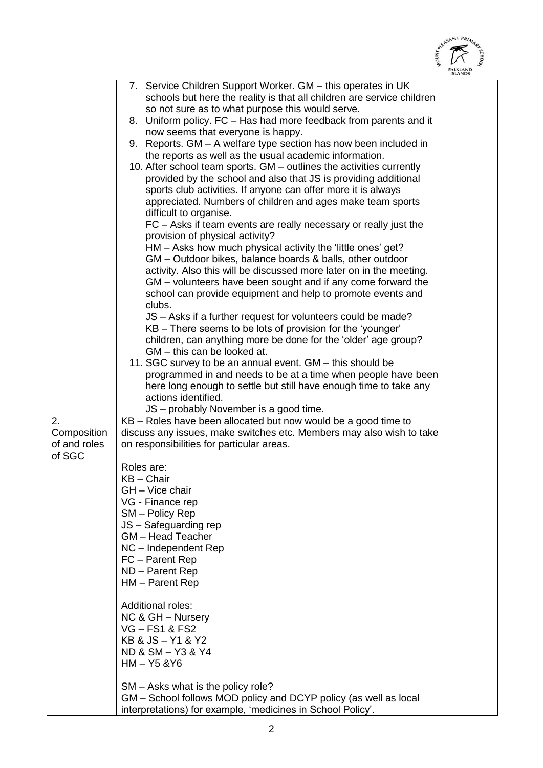

|                                             |                                                                                                                                                                                                                                                                                                                                                                                                                                                                                                                                                                                                                                                                                                                                                                                                                                                                                                                                                                                                                                                                                                                                                                                                                                                                                                                                                                                                                                                                                                                                                                                                                             | <b>ISLANDS</b> |
|---------------------------------------------|-----------------------------------------------------------------------------------------------------------------------------------------------------------------------------------------------------------------------------------------------------------------------------------------------------------------------------------------------------------------------------------------------------------------------------------------------------------------------------------------------------------------------------------------------------------------------------------------------------------------------------------------------------------------------------------------------------------------------------------------------------------------------------------------------------------------------------------------------------------------------------------------------------------------------------------------------------------------------------------------------------------------------------------------------------------------------------------------------------------------------------------------------------------------------------------------------------------------------------------------------------------------------------------------------------------------------------------------------------------------------------------------------------------------------------------------------------------------------------------------------------------------------------------------------------------------------------------------------------------------------------|----------------|
|                                             | 7. Service Children Support Worker. GM - this operates in UK<br>schools but here the reality is that all children are service children<br>so not sure as to what purpose this would serve.<br>8. Uniform policy. FC - Has had more feedback from parents and it<br>now seems that everyone is happy.<br>9. Reports. GM - A welfare type section has now been included in<br>the reports as well as the usual academic information.<br>10. After school team sports. GM - outlines the activities currently<br>provided by the school and also that JS is providing additional<br>sports club activities. If anyone can offer more it is always<br>appreciated. Numbers of children and ages make team sports<br>difficult to organise.<br>FC - Asks if team events are really necessary or really just the<br>provision of physical activity?<br>HM - Asks how much physical activity the 'little ones' get?<br>GM - Outdoor bikes, balance boards & balls, other outdoor<br>activity. Also this will be discussed more later on in the meeting.<br>GM – volunteers have been sought and if any come forward the<br>school can provide equipment and help to promote events and<br>clubs.<br>JS – Asks if a further request for volunteers could be made?<br>KB – There seems to be lots of provision for the 'younger'<br>children, can anything more be done for the 'older' age group?<br>GM - this can be looked at.<br>11. SGC survey to be an annual event. GM – this should be<br>programmed in and needs to be at a time when people have been<br>here long enough to settle but still have enough time to take any |                |
|                                             | actions identified.                                                                                                                                                                                                                                                                                                                                                                                                                                                                                                                                                                                                                                                                                                                                                                                                                                                                                                                                                                                                                                                                                                                                                                                                                                                                                                                                                                                                                                                                                                                                                                                                         |                |
|                                             |                                                                                                                                                                                                                                                                                                                                                                                                                                                                                                                                                                                                                                                                                                                                                                                                                                                                                                                                                                                                                                                                                                                                                                                                                                                                                                                                                                                                                                                                                                                                                                                                                             |                |
| 2.<br>Composition<br>of and roles<br>of SGC | JS - probably November is a good time.<br>KB - Roles have been allocated but now would be a good time to<br>discuss any issues, make switches etc. Members may also wish to take<br>on responsibilities for particular areas.<br>Roles are:<br>$KB - Chair$<br>GH - Vice chair<br>VG - Finance rep<br>SM - Policy Rep<br>JS - Safeguarding rep<br><b>GM</b> - Head Teacher<br>NC - Independent Rep<br>FC - Parent Rep<br>ND - Parent Rep<br>HM - Parent Rep<br>Additional roles:<br>NC & GH - Nursery<br><b>VG-FS1&amp;FS2</b><br>KB & JS - Y1 & Y2<br>ND & SM - Y3 & Y4<br>$HM - Y5$ & $Y6$                                                                                                                                                                                                                                                                                                                                                                                                                                                                                                                                                                                                                                                                                                                                                                                                                                                                                                                                                                                                                                |                |
|                                             | SM – Asks what is the policy role?<br>GM – School follows MOD policy and DCYP policy (as well as local<br>interpretations) for example, 'medicines in School Policy'.                                                                                                                                                                                                                                                                                                                                                                                                                                                                                                                                                                                                                                                                                                                                                                                                                                                                                                                                                                                                                                                                                                                                                                                                                                                                                                                                                                                                                                                       |                |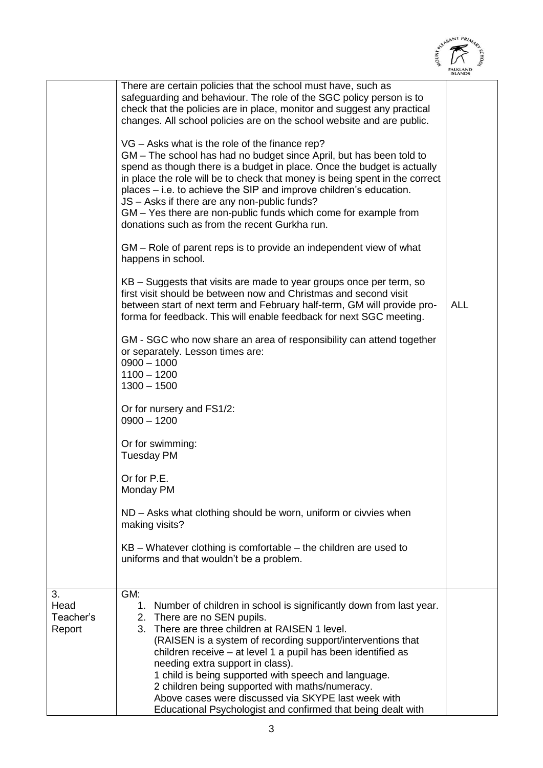|                             |                                                                                                                                                                                                                                                                                                                                                                                                                                                                                                                                                                                                                                                                                                                                                                                                                                                                                                                                                                                                                                                                                                                                                                                                                                                                                                                                                                                                                                                                                                                                                                                                                                                                                                                 | RYEASANT PRIM |
|-----------------------------|-----------------------------------------------------------------------------------------------------------------------------------------------------------------------------------------------------------------------------------------------------------------------------------------------------------------------------------------------------------------------------------------------------------------------------------------------------------------------------------------------------------------------------------------------------------------------------------------------------------------------------------------------------------------------------------------------------------------------------------------------------------------------------------------------------------------------------------------------------------------------------------------------------------------------------------------------------------------------------------------------------------------------------------------------------------------------------------------------------------------------------------------------------------------------------------------------------------------------------------------------------------------------------------------------------------------------------------------------------------------------------------------------------------------------------------------------------------------------------------------------------------------------------------------------------------------------------------------------------------------------------------------------------------------------------------------------------------------|---------------|
|                             |                                                                                                                                                                                                                                                                                                                                                                                                                                                                                                                                                                                                                                                                                                                                                                                                                                                                                                                                                                                                                                                                                                                                                                                                                                                                                                                                                                                                                                                                                                                                                                                                                                                                                                                 |               |
| 3.                          | There are certain policies that the school must have, such as<br>safeguarding and behaviour. The role of the SGC policy person is to<br>check that the policies are in place, monitor and suggest any practical<br>changes. All school policies are on the school website and are public.<br>VG - Asks what is the role of the finance rep?<br>GM – The school has had no budget since April, but has been told to<br>spend as though there is a budget in place. Once the budget is actually<br>in place the role will be to check that money is being spent in the correct<br>places – i.e. to achieve the SIP and improve children's education.<br>JS - Asks if there are any non-public funds?<br>GM – Yes there are non-public funds which come for example from<br>donations such as from the recent Gurkha run.<br>GM – Role of parent reps is to provide an independent view of what<br>happens in school.<br>KB – Suggests that visits are made to year groups once per term, so<br>first visit should be between now and Christmas and second visit<br>between start of next term and February half-term, GM will provide pro-<br>forma for feedback. This will enable feedback for next SGC meeting.<br>GM - SGC who now share an area of responsibility can attend together<br>or separately. Lesson times are:<br>$0900 - 1000$<br>$1100 - 1200$<br>$1300 - 1500$<br>Or for nursery and FS1/2:<br>$0900 - 1200$<br>Or for swimming:<br><b>Tuesday PM</b><br>Or for P.E.<br>Monday PM<br>ND – Asks what clothing should be worn, uniform or civvies when<br>making visits?<br>$KB$ – Whatever clothing is comfortable – the children are used to<br>uniforms and that wouldn't be a problem.<br>GM: | <b>ALL</b>    |
| Head<br>Teacher's<br>Report | 1. Number of children in school is significantly down from last year.<br>2. There are no SEN pupils.<br>3. There are three children at RAISEN 1 level.<br>(RAISEN is a system of recording support/interventions that<br>children receive – at level 1 a pupil has been identified as<br>needing extra support in class).<br>1 child is being supported with speech and language.<br>2 children being supported with maths/numeracy.<br>Above cases were discussed via SKYPE last week with<br>Educational Psychologist and confirmed that being dealt with                                                                                                                                                                                                                                                                                                                                                                                                                                                                                                                                                                                                                                                                                                                                                                                                                                                                                                                                                                                                                                                                                                                                                     |               |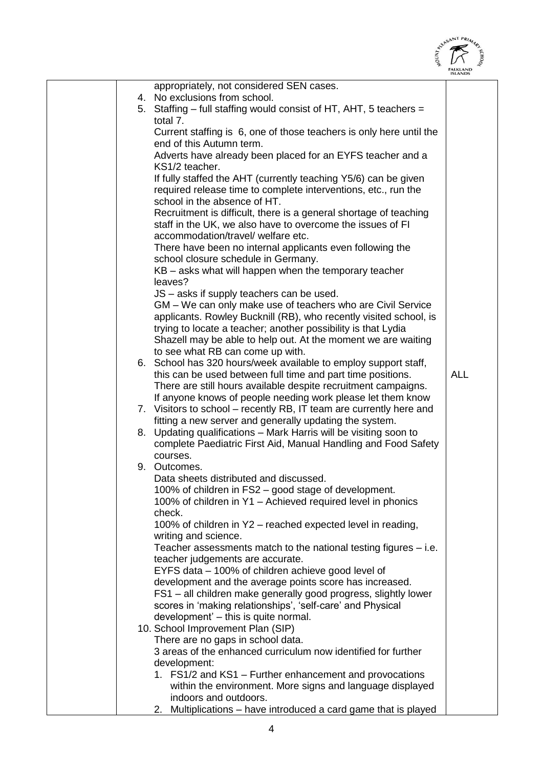

|                                                                                                                                                                                                  | <b>ISLANDS</b> |
|--------------------------------------------------------------------------------------------------------------------------------------------------------------------------------------------------|----------------|
| appropriately, not considered SEN cases.                                                                                                                                                         |                |
| 4. No exclusions from school.<br>5. Staffing – full staffing would consist of HT, AHT, 5 teachers =<br>total 7.                                                                                  |                |
| Current staffing is 6, one of those teachers is only here until the<br>end of this Autumn term.                                                                                                  |                |
| Adverts have already been placed for an EYFS teacher and a<br>KS1/2 teacher.                                                                                                                     |                |
| If fully staffed the AHT (currently teaching Y5/6) can be given<br>required release time to complete interventions, etc., run the                                                                |                |
| school in the absence of HT.<br>Recruitment is difficult, there is a general shortage of teaching                                                                                                |                |
| staff in the UK, we also have to overcome the issues of FI<br>accommodation/travel/ welfare etc.                                                                                                 |                |
| There have been no internal applicants even following the<br>school closure schedule in Germany.                                                                                                 |                |
| KB - asks what will happen when the temporary teacher<br>leaves?                                                                                                                                 |                |
| JS – asks if supply teachers can be used.<br>GM – We can only make use of teachers who are Civil Service                                                                                         |                |
| applicants. Rowley Bucknill (RB), who recently visited school, is<br>trying to locate a teacher; another possibility is that Lydia                                                               |                |
| Shazell may be able to help out. At the moment we are waiting<br>to see what RB can come up with.                                                                                                |                |
| 6. School has 320 hours/week available to employ support staff,<br>this can be used between full time and part time positions.<br>There are still hours available despite recruitment campaigns. | <b>ALL</b>     |
| If anyone knows of people needing work please let them know<br>7. Visitors to school - recently RB, IT team are currently here and                                                               |                |
| fitting a new server and generally updating the system.                                                                                                                                          |                |
| 8. Updating qualifications - Mark Harris will be visiting soon to<br>complete Paediatric First Aid, Manual Handling and Food Safety<br>courses.                                                  |                |
| 9. Outcomes.                                                                                                                                                                                     |                |
| Data sheets distributed and discussed<br>100% of children in FS2 – good stage of development.                                                                                                    |                |
| 100% of children in Y1 - Achieved required level in phonics<br>check.                                                                                                                            |                |
| 100% of children in Y2 – reached expected level in reading,<br>writing and science.                                                                                                              |                |
| Teacher assessments match to the national testing figures - i.e.<br>teacher judgements are accurate.                                                                                             |                |
| EYFS data – 100% of children achieve good level of<br>development and the average points score has increased.                                                                                    |                |
| FS1 - all children make generally good progress, slightly lower                                                                                                                                  |                |
| scores in 'making relationships', 'self-care' and Physical<br>development' - this is quite normal.                                                                                               |                |
| 10. School Improvement Plan (SIP)<br>There are no gaps in school data.                                                                                                                           |                |
| 3 areas of the enhanced curriculum now identified for further                                                                                                                                    |                |
| development:<br>1. FS1/2 and KS1 - Further enhancement and provocations                                                                                                                          |                |
| within the environment. More signs and language displayed<br>indoors and outdoors.                                                                                                               |                |
| Multiplications - have introduced a card game that is played<br>2.                                                                                                                               |                |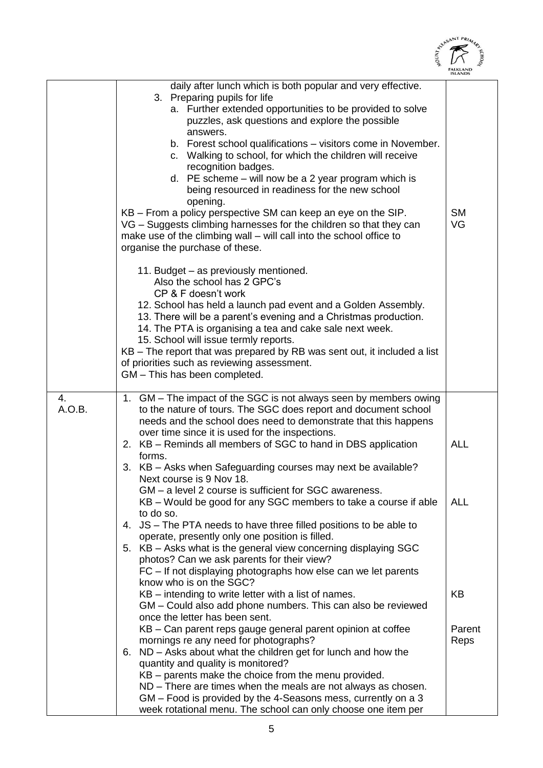|              |                                                                                                                                                                                                                                                                                                                                                                                                                                                                                                                                                                                                                                                                                                                                                                                              | ALEASANT PRIM            |
|--------------|----------------------------------------------------------------------------------------------------------------------------------------------------------------------------------------------------------------------------------------------------------------------------------------------------------------------------------------------------------------------------------------------------------------------------------------------------------------------------------------------------------------------------------------------------------------------------------------------------------------------------------------------------------------------------------------------------------------------------------------------------------------------------------------------|--------------------------|
|              | daily after lunch which is both popular and very effective.<br>3. Preparing pupils for life<br>a. Further extended opportunities to be provided to solve<br>puzzles, ask questions and explore the possible<br>answers.<br>b. Forest school qualifications - visitors come in November.<br>c. Walking to school, for which the children will receive<br>recognition badges.<br>d. PE scheme - will now be a 2 year program which is<br>being resourced in readiness for the new school<br>opening.<br>KB – From a policy perspective SM can keep an eye on the SIP.<br>VG – Suggests climbing harnesses for the children so that they can<br>make use of the climbing wall - will call into the school office to<br>organise the purchase of these.<br>11. Budget - as previously mentioned. | <b>SM</b><br>VG          |
|              | Also the school has 2 GPC's<br>CP & F doesn't work<br>12. School has held a launch pad event and a Golden Assembly.<br>13. There will be a parent's evening and a Christmas production.<br>14. The PTA is organising a tea and cake sale next week.<br>15. School will issue termly reports.<br>KB - The report that was prepared by RB was sent out, it included a list<br>of priorities such as reviewing assessment.<br>GM - This has been completed.                                                                                                                                                                                                                                                                                                                                     |                          |
| 4.<br>A.O.B. | 1. GM – The impact of the SGC is not always seen by members owing<br>to the nature of tours. The SGC does report and document school<br>needs and the school does need to demonstrate that this happens<br>over time since it is used for the inspections.<br>2. KB - Reminds all members of SGC to hand in DBS application<br>forms.<br>3. KB - Asks when Safeguarding courses may next be available?<br>Next course is 9 Nov 18.<br>GM – a level 2 course is sufficient for SGC awareness.<br>KB - Would be good for any SGC members to take a course if able<br>to do so.<br>4. JS – The PTA needs to have three filled positions to be able to                                                                                                                                           | <b>ALL</b><br><b>ALL</b> |
|              | operate, presently only one position is filled.<br>5. KB – Asks what is the general view concerning displaying SGC<br>photos? Can we ask parents for their view?<br>FC - If not displaying photographs how else can we let parents<br>know who is on the SGC?<br>KB - intending to write letter with a list of names.<br>GM - Could also add phone numbers. This can also be reviewed<br>once the letter has been sent.<br>KB – Can parent reps gauge general parent opinion at coffee<br>mornings re any need for photographs?<br>ND – Asks about what the children get for lunch and how the<br>6.<br>quantity and quality is monitored?<br>KB - parents make the choice from the menu provided.                                                                                           | KB<br>Parent<br>Reps     |
|              | ND – There are times when the meals are not always as chosen.<br>GM – Food is provided by the 4-Seasons mess, currently on a 3<br>week rotational menu. The school can only choose one item per                                                                                                                                                                                                                                                                                                                                                                                                                                                                                                                                                                                              |                          |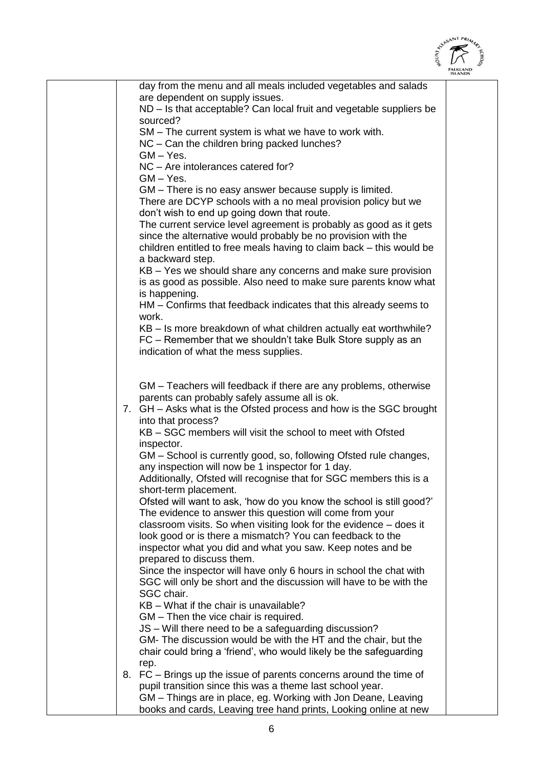